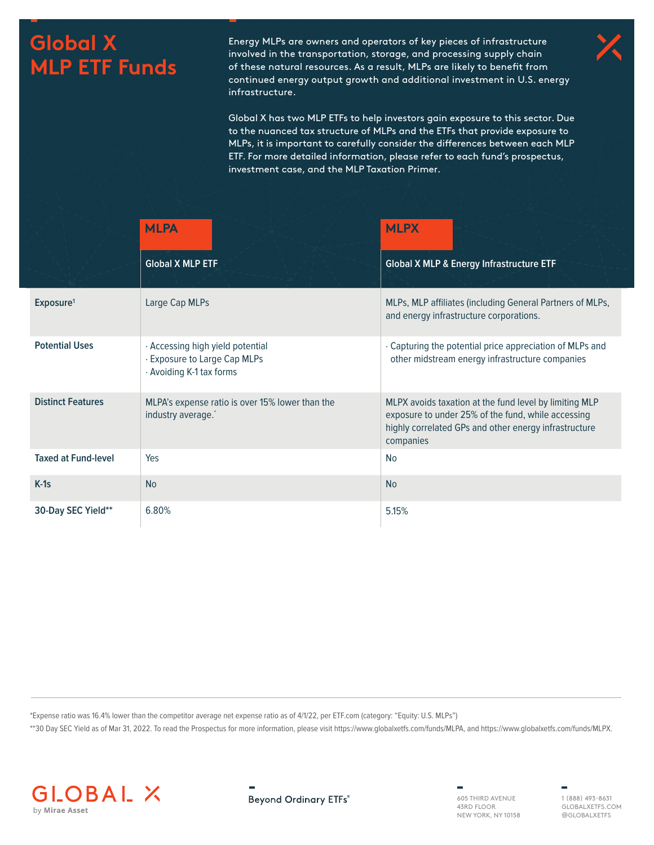## **Global X MLP ETF Funds**

Energy MLPs are owners and operators of key pieces of infrastructure involved in the transportation, storage, and processing supply chain of these natural resources. As a result, MLPs are likely to benefit from continued energy output growth and additional investment in U.S. energy infrastructure.

Global X has two MLP ETFs to help investors gain exposure to this sector. Due to the nuanced tax structure of MLPs and the ETFs that provide exposure to MLPs, it is important to carefully consider the differences between each MLP ETF. For more detailed information, please refer to each fund's prospectus, investment case, and the MLP Taxation Primer.

|                            | <b>MLPA</b>                                                                                  | <b>MLPX</b>                                                                                                                                                                        |  |  |
|----------------------------|----------------------------------------------------------------------------------------------|------------------------------------------------------------------------------------------------------------------------------------------------------------------------------------|--|--|
|                            | <b>Global X MLP ETF</b>                                                                      | <b>Global X MLP &amp; Energy Infrastructure ETF</b>                                                                                                                                |  |  |
| Exposure <sup>1</sup>      | Large Cap MLPs                                                                               | MLPs, MLP affiliates (including General Partners of MLPs,<br>and energy infrastructure corporations.                                                                               |  |  |
| <b>Potential Uses</b>      | · Accessing high yield potential<br>. Exposure to Large Cap MLPs<br>· Avoiding K-1 tax forms | . Capturing the potential price appreciation of MLPs and<br>other midstream energy infrastructure companies                                                                        |  |  |
| <b>Distinct Features</b>   | MLPA's expense ratio is over 15% lower than the<br>industry average.*                        | MLPX avoids taxation at the fund level by limiting MLP<br>exposure to under 25% of the fund, while accessing<br>highly correlated GPs and other energy infrastructure<br>companies |  |  |
| <b>Taxed at Fund-level</b> | Yes                                                                                          | <b>No</b>                                                                                                                                                                          |  |  |
| $K-1s$                     | <b>No</b>                                                                                    | <b>No</b>                                                                                                                                                                          |  |  |
| 30-Day SEC Yield**         | 6.80%                                                                                        | 5.15%                                                                                                                                                                              |  |  |

\*Expense ratio was 16.4% lower than the competitor average net expense ratio as of 4/1/22, per ETF.com (category: "Equity: U.S. MLPs")

\*\*30 Day SEC Yield as of Mar 31, 2022. To read the Prospectus for more information, please visit https://www.globalxetfs.com/funds/MLPA, and https://www.globalxetfs.com/funds/MLPX.



**Beyond Ordinary ETFs®** 

605 THIRD AVENUE 43RD FLOOR NEW YORK, NY 10158 1 (888) 493-8631 GLOBALXETFS.COM @GLOBALXETFS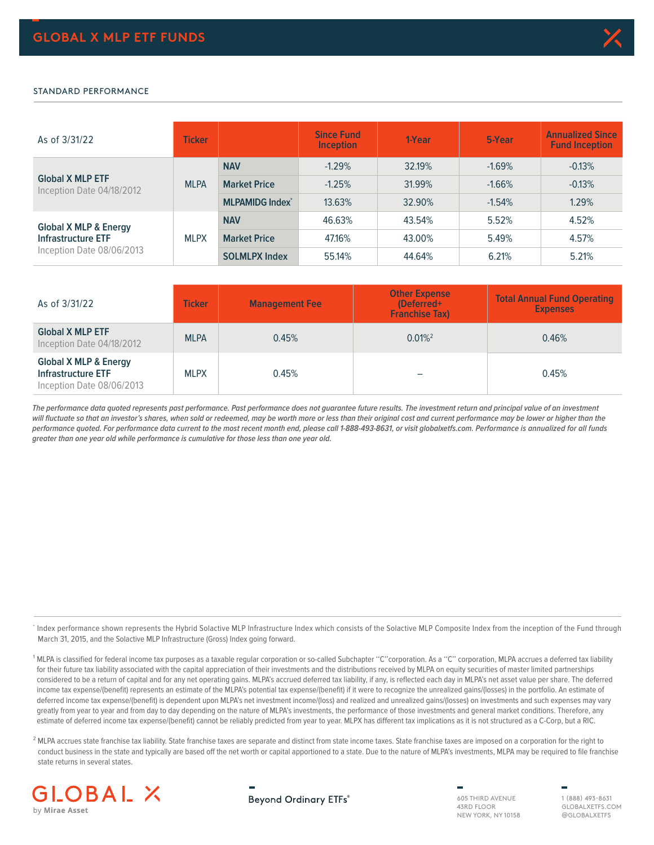

## STANDARD PERFORMANCE

| As of 3/31/22                                        | <b>Ticker</b> |                                   | <b>Since Fund</b><br><b>Inception</b> | 1-Year | 5-Year   | <b>Annualized Since</b><br><b>Fund Inception</b> |
|------------------------------------------------------|---------------|-----------------------------------|---------------------------------------|--------|----------|--------------------------------------------------|
|                                                      | <b>MLPA</b>   | <b>NAV</b>                        | $-1.29%$                              | 32.19% | $-1.69%$ | $-0.13%$                                         |
| <b>Global X MLP ETF</b><br>Inception Date 04/18/2012 |               | <b>Market Price</b>               | $-1.25%$                              | 31.99% | $-1.66%$ | $-0.13%$                                         |
|                                                      |               | <b>MLPAMIDG Index<sup>*</sup></b> | 13.63%                                | 32.90% | $-1.54%$ | 1.29%                                            |
| <b>Global X MLP &amp; Energy</b>                     | <b>MLPX</b>   | <b>NAV</b>                        | 46.63%                                | 43.54% | 5.52%    | 4.52%                                            |
| <b>Infrastructure ETF</b>                            |               | <b>Market Price</b>               | 47.16%                                | 43.00% | 5.49%    | 4.57%                                            |
| Inception Date 08/06/2013                            |               | <b>SOLMLPX Index</b>              | 55.14%                                | 44.64% | 6.21%    | 5.21%                                            |

| As of 3/31/22                                                                              | <b>Ticker</b> | <b>Management Fee</b> | <b>Other Expense</b><br>(Deferred+<br><b>Franchise Tax)</b> | <b>Total Annual Fund Operating</b><br><b>Expenses</b> |
|--------------------------------------------------------------------------------------------|---------------|-----------------------|-------------------------------------------------------------|-------------------------------------------------------|
| <b>Global X MLP ETF</b><br>Inception Date 04/18/2012                                       | <b>MLPA</b>   | 0.45%                 | $0.01\%$ <sup>2</sup>                                       | 0.46%                                                 |
| <b>Global X MLP &amp; Energy</b><br><b>Infrastructure ETF</b><br>Inception Date 08/06/2013 | <b>MLPX</b>   | 0.45%                 |                                                             | 0.45%                                                 |

**The performance data quoted represents past performance. Past performance does not guarantee future results. The investment return and principal value of an investment**  will fluctuate so that an investor's shares, when sold or redeemed, may be worth more or less than their original cost and current performance may be lower or higher than the **performance quoted. For performance data current to the most recent month end, please call 1-888-493-8631, or visit globalxetfs.com. Performance is annualized for all funds greater than one year old while performance is cumulative for those less than one year old.**

\* Index performance shown represents the Hybrid Solactive MLP Infrastructure Index which consists of the Solactive MLP Composite Index from the inception of the Fund through March 31, 2015, and the Solactive MLP Infrastructure (Gross) Index going forward.

<sup>1</sup> MLPA is classified for federal income tax purposes as a taxable regular corporation or so-called Subchapter "C" corporation. As a "C" corporation, MLPA accrues a deferred tax liability for their future tax liability associated with the capital appreciation of their investments and the distributions received by MLPA on equity securities of master limited partnerships considered to be a return of capital and for any net operating gains. MLPA's accrued deferred tax liability, if any, is reflected each day in MLPA's net asset value per share. The deferred income tax expense/(benefit) represents an estimate of the MLPA's potential tax expense/(benefit) if it were to recognize the unrealized gains/(losses) in the portfolio. An estimate of deferred income tax expense/(benefit) is dependent upon MLPA's net investment income/(loss) and realized and unrealized gains/(losses) on investments and such expenses may vary greatly from year to year and from day to day depending on the nature of MLPA's investments, the performance of those investments and general market conditions. Therefore, any estimate of deferred income tax expense/(benefit) cannot be reliably predicted from year to year. MLPX has different tax implications as it is not structured as a C-Corp, but a RIC.

<sup>2</sup> MLPA accrues state franchise tax liability. State franchise taxes are separate and distinct from state income taxes. State franchise taxes are imposed on a corporation for the right to conduct business in the state and typically are based off the net worth or capital apportioned to a state. Due to the nature of MLPA's investments, MLPA may be required to file franchise state returns in several states.



**Beyond Ordinary ETFs®** 

605 THIRD AVENUE 43RD FLOOR NEW YORK, NY 10158

1 (888) 493-8631 GLOBALXETFS.COM @GLOBALXETFS